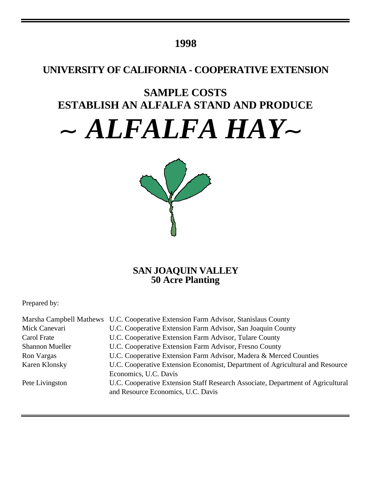### **1998**

## **UNIVERSITY OF CALIFORNIA - COOPERATIVE EXTENSION**

# **SAMPLE COSTS ESTABLISH AN ALFALFA STAND AND PRODUCE**

*ALFALFA HAY*



### **SAN JOAQUIN VALLEY 50 Acre Planting**

Prepared by:

|                        | Marsha Campbell Mathews U.C. Cooperative Extension Farm Advisor, Stanislaus County |
|------------------------|------------------------------------------------------------------------------------|
| Mick Canevari          | U.C. Cooperative Extension Farm Advisor, San Joaquin County                        |
| Carol Frate            | U.C. Cooperative Extension Farm Advisor, Tulare County                             |
| <b>Shannon Mueller</b> | U.C. Cooperative Extension Farm Advisor, Fresno County                             |
| Ron Vargas             | U.C. Cooperative Extension Farm Advisor, Madera & Merced Counties                  |
| Karen Klonsky          | U.C. Cooperative Extension Economist, Department of Agricultural and Resource      |
|                        | Economics, U.C. Davis                                                              |
| Pete Livingston        | U.C. Cooperative Extension Staff Research Associate, Department of Agricultural    |
|                        | and Resource Economics, U.C. Davis                                                 |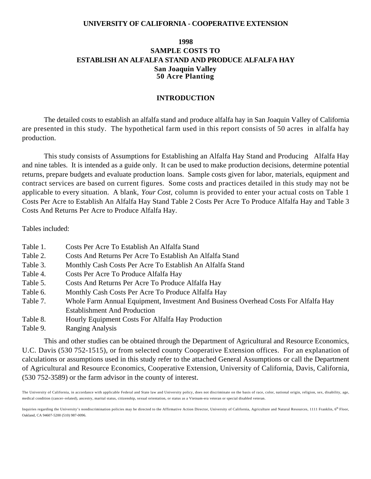#### **UNIVERSITY OF CALIFORNIA - COOPERATIVE EXTENSION**

### **1998 SAMPLE COSTS TO ESTABLISH AN ALFALFA STAND AND PRODUCE ALFALFA HAY San Joaquin Valley 50 Acre Planting**

#### **INTRODUCTION**

The detailed costs to establish an alfalfa stand and produce alfalfa hay in San Joaquin Valley of California are presented in this study. The hypothetical farm used in this report consists of 50 acres in alfalfa hay production.

This study consists of Assumptions for Establishing an Alfalfa Hay Stand and Producing Alfalfa Hay and nine tables. It is intended as a guide only. It can be used to make production decisions, determine potential returns, prepare budgets and evaluate production loans. Sample costs given for labor, materials, equipment and contract services are based on current figures. Some costs and practices detailed in this study may not be applicable to every situation. A blank, *Your Cost,* column is provided to enter your actual costs on Table 1 Costs Per Acre to Establish An Alfalfa Hay Stand Table 2 Costs Per Acre To Produce Alfalfa Hay and Table 3 Costs And Returns Per Acre to Produce Alfalfa Hay.

Tables included:

- Table 1. Costs Per Acre To Establish An Alfalfa Stand
- Table 2. Costs And Returns Per Acre To Establish An Alfalfa Stand
- Table 3. Monthly Cash Costs Per Acre To Establish An Alfalfa Stand
- Table 4. Costs Per Acre To Produce Alfalfa Hay
- Table 5. Costs And Returns Per Acre To Produce Alfalfa Hay
- Table 6. Monthly Cash Costs Per Acre To Produce Alfalfa Hay
- Table 7. Whole Farm Annual Equipment, Investment And Business Overhead Costs For Alfalfa Hay Establishment And Production
- Table 8. Hourly Equipment Costs For Alfalfa Hay Production
- Table 9. Ranging Analysis

This and other studies can be obtained through the Department of Agricultural and Resource Economics, U.C. Davis (530 752-1515), or from selected county Cooperative Extension offices. For an explanation of calculations or assumptions used in this study refer to the attached General Assumptions or call the Department of Agricultural and Resource Economics, Cooperative Extension, University of California, Davis, California, (530 752-3589) or the farm advisor in the county of interest.

The University of California, in accordance with applicable Federal and State law and University policy, does not discriminate on the basis of race, color, national origin, religion, sex, disability, age, medical condition (cancer–related), ancestry, marital status, citizenship, sexual orientation, or status as a Vietnam-era veteran or special disabled veteran.

Inquiries regarding the University's nondiscrimination policies may be directed to the Affirmative Action Director, University of California, Agriculture and Natural Resources, 1111 Franklin, 6<sup>th</sup> Floor, Oakland, CA 94607-5200 (510) 987-0096.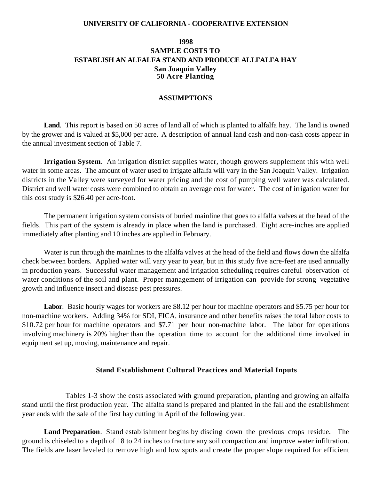#### **UNIVERSITY OF CALIFORNIA - COOPERATIVE EXTENSION**

### **1998 SAMPLE COSTS TO ESTABLISH AN ALFALFA STAND AND PRODUCE ALLFALFA HAY San Joaquin Valley 50 Acre Planting**

#### **ASSUMPTIONS**

**Land**. This report is based on 50 acres of land all of which is planted to alfalfa hay. The land is owned by the grower and is valued at \$5,000 per acre.A description of annual land cash and non-cash costs appear in the annual investment section of Table 7.

**Irrigation System**. An irrigation district supplies water, though growers supplement this with well water in some areas. The amount of water used to irrigate alfalfa will vary in the San Joaquin Valley. Irrigation districts in the Valley were surveyed for water pricing and the cost of pumping well water was calculated. District and well water costs were combined to obtain an average cost for water. The cost of irrigation water for this cost study is \$26.40 per acre-foot.

The permanent irrigation system consists of buried mainline that goes to alfalfa valves at the head of the fields. This part of the system is already in place when the land is purchased. Eight acre-inches are applied immediately after planting and 10 inches are applied in February.

Water is run through the mainlines to the alfalfa valves at the head of the field and flows down the alfalfa check between borders. Applied water will vary year to year, but in this study five acre-feet are used annually in production years. Successful water management and irrigation scheduling requires careful observation of water conditions of the soil and plant. Proper management of irrigation can provide for strong vegetative growth and influence insect and disease pest pressures.

**Labor**. Basic hourly wages for workers are \$8.12 per hour for machine operators and \$5.75 per hour for non-machine workers. Adding 34% for SDI, FICA, insurance and other benefits raises the total labor costs to \$10.72 per hour for machine operators and \$7.71 per hour non-machine labor. The labor for operations involving machinery is 20% higher than the operation time to account for the additional time involved in equipment set up, moving, maintenance and repair.

#### **Stand Establishment Cultural Practices and Material Inputs**

Tables 1-3 show the costs associated with ground preparation, planting and growing an alfalfa stand until the first production year. The alfalfa stand is prepared and planted in the fall and the establishment year ends with the sale of the first hay cutting in April of the following year.

**Land Preparation**. Stand establishment begins by discing down the previous crops residue. The ground is chiseled to a depth of 18 to 24 inches to fracture any soil compaction and improve water infiltration. The fields are laser leveled to remove high and low spots and create the proper slope required for efficient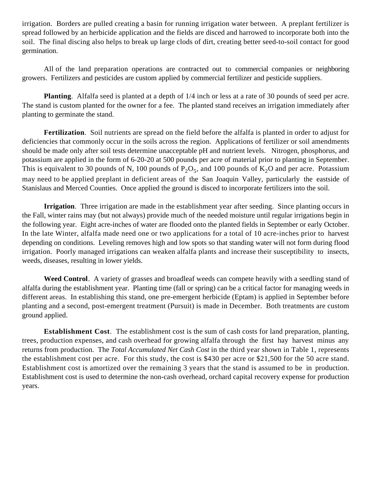irrigation. Borders are pulled creating a basin for running irrigation water between. A preplant fertilizer is spread followed by an herbicide application and the fields are disced and harrowed to incorporate both into the soil. The final discing also helps to break up large clods of dirt, creating better seed-to-soil contact for good germination.

All of the land preparation operations are contracted out to commercial companies or neighboring growers. Fertilizers and pesticides are custom applied by commercial fertilizer and pesticide suppliers.

**Planting**. Alfalfa seed is planted at a depth of 1/4 inch or less at a rate of 30 pounds of seed per acre. The stand is custom planted for the owner for a fee. The planted stand receives an irrigation immediately after planting to germinate the stand.

**Fertilization**. Soil nutrients are spread on the field before the alfalfa is planted in order to adjust for deficiencies that commonly occur in the soils across the region. Applications of fertilizer or soil amendments should be made only after soil tests determine unacceptable pH and nutrient levels. Nitrogen, phosphorus, and potassium are applied in the form of 6-20-20 at 500 pounds per acre of material prior to planting in September. This is equivalent to 30 pounds of N, 100 pounds of  $P_2O_5$ , and 100 pounds of  $K_2O$  and per acre. Potassium may need to be applied preplant in deficient areas of the San Joaquin Valley, particularly the eastside of Stanislaus and Merced Counties. Once applied the ground is disced to incorporate fertilizers into the soil.

**Irrigation**. Three irrigation are made in the establishment year after seeding. Since planting occurs in the Fall, winter rains may (but not always) provide much of the needed moisture until regular irrigations begin in the following year. Eight acre-inches of water are flooded onto the planted fields in September or early October. In the late Winter, alfalfa made need one or two applications for a total of 10 acre-inches prior to harvest depending on conditions. Leveling removes high and low spots so that standing water will not form during flood irrigation. Poorly managed irrigations can weaken alfalfa plants and increase their susceptibility to insects, weeds, diseases, resulting in lower yields.

**Weed Control**. A variety of grasses and broadleaf weeds can compete heavily with a seedling stand of alfalfa during the establishment year. Planting time (fall or spring) can be a critical factor for managing weeds in different areas. In establishing this stand, one pre-emergent herbicide (Eptam) is applied in September before planting and a second, post-emergent treatment (Pursuit) is made in December. Both treatments are custom ground applied.

**Establishment Cost**. The establishment cost is the sum of cash costs for land preparation, planting, trees, production expenses, and cash overhead for growing alfalfa through the first hay harvest minus any returns from production. The *Total Accumulated Net Cash Cost* in the third year shown in Table 1, represents the establishment cost per acre. For this study, the cost is \$430 per acre or \$21,500 for the 50 acre stand. Establishment cost is amortized over the remaining 3 years that the stand is assumed to be in production. Establishment cost is used to determine the non-cash overhead, orchard capital recovery expense for production years.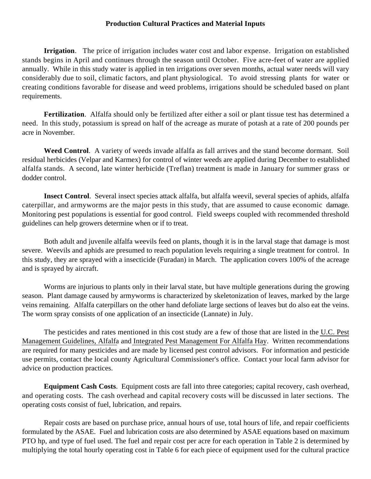### **Production Cultural Practices and Material Inputs**

**Irrigation**. The price of irrigation includes water cost and labor expense. Irrigation on established stands begins in April and continues through the season until October. Five acre-feet of water are applied annually. While in this study water is applied in ten irrigations over seven months, actual water needs will vary considerably due to soil, climatic factors, and plant physiological. To avoid stressing plants for water or creating conditions favorable for disease and weed problems, irrigations should be scheduled based on plant requirements.

**Fertilization**. Alfalfa should only be fertilized after either a soil or plant tissue test has determined a need. In this study, potassium is spread on half of the acreage as murate of potash at a rate of 200 pounds per acre in November.

**Weed Control**. A variety of weeds invade alfalfa as fall arrives and the stand become dormant. Soil residual herbicides (Velpar and Karmex) for control of winter weeds are applied during December to established alfalfa stands. A second, late winter herbicide (Treflan) treatment is made in January for summer grass or dodder control.

**Insect Control**. Several insect species attack alfalfa, but alfalfa weevil, several species of aphids, alfalfa caterpillar, and armyworms are the major pests in this study, that are assumed to cause economic damage. Monitoring pest populations is essential for good control. Field sweeps coupled with recommended threshold guidelines can help growers determine when or if to treat.

Both adult and juvenile alfalfa weevils feed on plants, though it is in the larval stage that damage is most severe. Weevils and aphids are presumed to reach population levels requiring a single treatment for control. In this study, they are sprayed with a insecticide (Furadan) in March. The application covers 100% of the acreage and is sprayed by aircraft.

Worms are injurious to plants only in their larval state, but have multiple generations during the growing season. Plant damage caused by armyworms is characterized by skeletonization of leaves, marked by the large veins remaining. Alfalfa caterpillars on the other hand defoliate large sections of leaves but do also eat the veins. The worm spray consists of one application of an insecticide (Lannate) in July.

The pesticides and rates mentioned in this cost study are a few of those that are listed in the U.C. Pest Management Guidelines, Alfalfa and Integrated Pest Management For Alfalfa Hay. Written recommendations are required for many pesticides and are made by licensed pest control advisors. For information and pesticide use permits, contact the local county Agricultural Commissioner's office. Contact your local farm advisor for advice on production practices.

**Equipment Cash Costs**. Equipment costs are fall into three categories; capital recovery, cash overhead, and operating costs. The cash overhead and capital recovery costs will be discussed in later sections. The operating costs consist of fuel, lubrication, and repairs.

Repair costs are based on purchase price, annual hours of use, total hours of life, and repair coefficients formulated by the ASAE. Fuel and lubrication costs are also determined by ASAE equations based on maximum PTO hp, and type of fuel used. The fuel and repair cost per acre for each operation in Table 2 is determined by multiplying the total hourly operating cost in Table 6 for each piece of equipment used for the cultural practice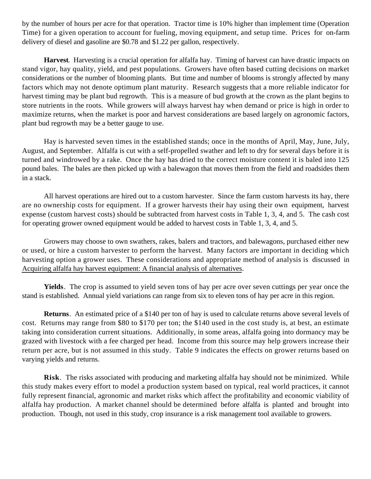by the number of hours per acre for that operation. Tractor time is 10% higher than implement time (Operation Time) for a given operation to account for fueling, moving equipment, and setup time. Prices for on-farm delivery of diesel and gasoline are \$0.78 and \$1.22 per gallon, respectively.

**Harvest**. Harvesting is a crucial operation for alfalfa hay. Timing of harvest can have drastic impacts on stand vigor, hay quality, yield, and pest populations. Growers have often based cutting decisions on market considerations or the number of blooming plants. But time and number of blooms is strongly affected by many factors which may not denote optimum plant maturity. Research suggests that a more reliable indicator for harvest timing may be plant bud regrowth. This is a measure of bud growth at the crown as the plant begins to store nutrients in the roots. While growers will always harvest hay when demand or price is high in order to maximize returns, when the market is poor and harvest considerations are based largely on agronomic factors, plant bud regrowth may be a better gauge to use.

Hay is harvested seven times in the established stands; once in the months of April, May, June, July, August, and September. Alfalfa is cut with a self-propelled swather and left to dry for several days before it is turned and windrowed by a rake. Once the hay has dried to the correct moisture content it is baled into 125 pound bales. The bales are then picked up with a balewagon that moves them from the field and roadsides them in a stack.

All harvest operations are hired out to a custom harvester. Since the farm custom harvests its hay, there are no ownership costs for equipment. If a grower harvests their hay using their own equipment, harvest expense (custom harvest costs) should be subtracted from harvest costs in Table 1, 3, 4, and 5. The cash cost for operating grower owned equipment would be added to harvest costs in Table 1, 3, 4, and 5.

Growers may choose to own swathers, rakes, balers and tractors, and balewagons, purchased either new or used, or hire a custom harvester to perform the harvest. Many factors are important in deciding which harvesting option a grower uses. These considerations and appropriate method of analysis is discussed in Acquiring alfalfa hay harvest equipment: A financial analysis of alternatives.

**Yields**. The crop is assumed to yield seven tons of hay per acre over seven cuttings per year once the stand is established. Annual yield variations can range from six to eleven tons of hay per acre in this region.

**Returns**. An estimated price of a \$140 per ton of hay is used to calculate returns above several levels of cost. Returns may range from \$80 to \$170 per ton; the \$140 used in the cost study is, at best, an estimate taking into consideration current situations. Additionally, in some areas, alfalfa going into dormancy may be grazed with livestock with a fee charged per head. Income from this source may help growers increase their return per acre, but is not assumed in this study. Table 9 indicates the effects on grower returns based on varying yields and returns.

**Risk**. The risks associated with producing and marketing alfalfa hay should not be minimized. While this study makes every effort to model a production system based on typical, real world practices, it cannot fully represent financial, agronomic and market risks which affect the profitability and economic viability of alfalfa hay production. A market channel should be determined before alfalfa is planted and brought into production. Though, not used in this study, crop insurance is a risk management tool available to growers.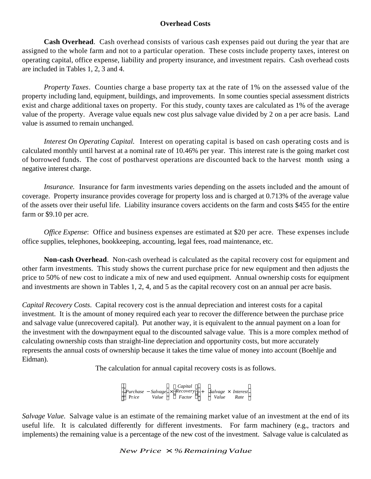### **Overhead Costs**

**Cash Overhead**. Cash overhead consists of various cash expenses paid out during the year that are assigned to the whole farm and not to a particular operation. These costs include property taxes, interest on operating capital, office expense, liability and property insurance, and investment repairs. Cash overhead costs are included in Tables 1, 2, 3 and 4.

*Property Taxes*. Counties charge a base property tax at the rate of 1% on the assessed value of the property including land, equipment, buildings, and improvements. In some counties special assessment districts exist and charge additional taxes on property. For this study, county taxes are calculated as 1% of the average value of the property. Average value equals new cost plus salvage value divided by 2 on a per acre basis. Land value is assumed to remain unchanged.

*Interest On Operating Capital.* Interest on operating capital is based on cash operating costs and is calculated monthly until harvest at a nominal rate of 10.46% per year. This interest rate is the going market cost of borrowed funds. The cost of postharvest operations are discounted back to the harvest month using a negative interest charge.

*Insurance.* Insurance for farm investments varies depending on the assets included and the amount of coverage. Property insurance provides coverage for property loss and is charged at 0.713% of the average value of the assets over their useful life. Liability insurance covers accidents on the farm and costs \$455 for the entire farm or \$9.10 per acre.

*Office Expense*: Office and business expenses are estimated at \$20 per acre. These expenses include office supplies, telephones, bookkeeping, accounting, legal fees, road maintenance, etc.

**Non-cash Overhead**. Non-cash overhead is calculated as the capital recovery cost for equipment and other farm investments. This study shows the current purchase price for new equipment and then adjusts the price to 50% of new cost to indicate a mix of new and used equipment. Annual ownership costs for equipment and investments are shown in Tables 1, 2, 4, and 5 as the capital recovery cost on an annual per acre basis.

*Capital Recovery Costs*. Capital recovery cost is the annual depreciation and interest costs for a capital investment. It is the amount of money required each year to recover the difference between the purchase price and salvage value (unrecovered capital). Put another way, it is equivalent to the annual payment on a loan for the investment with the downpayment equal to the discounted salvage value. This is a more complex method of calculating ownership costs than straight-line depreciation and opportunity costs, but more accurately represents the annual costs of ownership because it takes the time value of money into account (Boehlje and Eidman).

The calculation for annual capital recovery costs is as follows.

Capital<br>*Purchase* – *Salvage* × *Recovery*<br>*Price* – *Value* – *Factor* Pr*ice Value Factor Capital*  $\overline{\phantom{a}}$  + *Salvage* × *Interest Value Rate*  $\mathcal{S}_{\mathcal{S}}$ 

*Salvage Value.* Salvage value is an estimate of the remaining market value of an investment at the end of its useful life. It is calculated differently for different investments. For farm machinery (e.g., tractors and implements) the remaining value is a percentage of the new cost of the investment. Salvage value is calculated as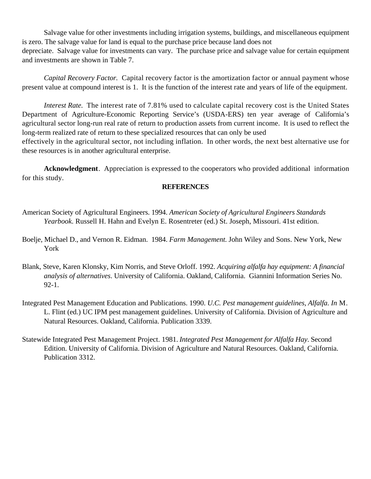Salvage value for other investments including irrigation systems, buildings, and miscellaneous equipment is zero. The salvage value for land is equal to the purchase price because land does not depreciate. Salvage value for investments can vary. The purchase price and salvage value for certain equipment and investments are shown in Table 7.

*Capital Recovery Factor*. Capital recovery factor is the amortization factor or annual payment whose present value at compound interest is 1. It is the function of the interest rate and years of life of the equipment.

*Interest Rate.* The interest rate of 7.81% used to calculate capital recovery cost is the United States Department of Agriculture-Economic Reporting Service's (USDA-ERS) ten year average of California's agricultural sector long-run real rate of return to production assets from current income. It is used to reflect the long-term realized rate of return to these specialized resources that can only be used

effectively in the agricultural sector, not including inflation. In other words, the next best alternative use for these resources is in another agricultural enterprise.

**Acknowledgment**. Appreciation is expressed to the cooperators who provided additional information for this study.

### **REFERENCES**

- American Society of Agricultural Engineers. 1994. *American Society of Agricultural Engineers Standards Yearbook*. Russell H. Hahn and Evelyn E. Rosentreter (ed.) St. Joseph, Missouri. 41st edition.
- Boelje, Michael D., and Vernon R. Eidman. 1984. *Farm Management*. John Wiley and Sons. New York, New York
- Blank, Steve, Karen Klonsky, Kim Norris, and Steve Orloff. 1992. *Acquiring alfalfa hay equipment: A financial analysis of alternatives*. University of California. Oakland, California. Giannini Information Series No. 92-1.
- Integrated Pest Management Education and Publications. 1990. *U.C. Pest management guidelines, Alfalfa*. *In* M. L. Flint (ed.) UC IPM pest management guidelines. University of California. Division of Agriculture and Natural Resources. Oakland, California. Publication 3339.
- Statewide Integrated Pest Management Project. 1981. *Integrated Pest Management for Alfalfa Hay*. Second Edition. University of California. Division of Agriculture and Natural Resources. Oakland, California. Publication 3312.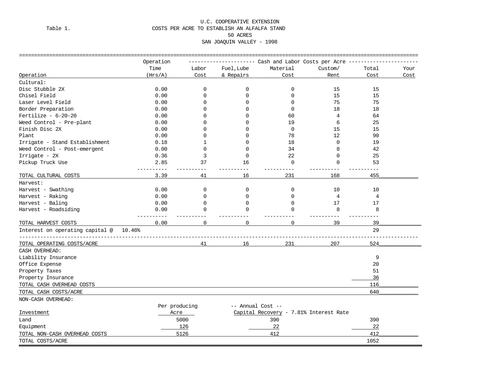#### U.C. COOPERATIVE EXTENSION Table 1. COSTS PER ACRE TO ESTABLISH AN ALFALFA STAND 50 ACRES SAN JOAQUIN VALLEY - 1998

|                                           | Operation     |              |                   | -------- Cash and Labor Costs per Acre -- |                   |       |      |
|-------------------------------------------|---------------|--------------|-------------------|-------------------------------------------|-------------------|-------|------|
|                                           | Time          | Labor        | Fuel, Lube        | Material                                  | Custom/           | Total | Your |
| Operation                                 | (Hrs/A)       | Cost         | & Repairs         | Cost                                      | Rent              | Cost  | Cost |
| Cultural:                                 |               |              |                   |                                           |                   |       |      |
| Disc Stubble 2X                           | 0.00          | 0            | $\mathbf 0$       | 0                                         | 15                | 15    |      |
| Chisel Field                              | 0.00          | $\Omega$     | $\Omega$          | $\Omega$                                  | 15                | 15    |      |
| Laser Level Field                         | 0.00          | $\Omega$     | $\Omega$          | $\Omega$                                  | 75                | 75    |      |
| Border Preparation                        | 0.00          | <sup>0</sup> | ∩                 | $\Omega$                                  | 18                | 18    |      |
| Fertilize - $6-20-20$                     | 0.00          | <sup>0</sup> | $\Omega$          | 60                                        | $\overline{4}$    | 64    |      |
| Weed Control - Pre-plant                  | 0.00          | O            | ∩                 | 19                                        | 6                 | 25    |      |
| Finish Disc 2X                            | 0.00          | <sup>0</sup> | $\Omega$          | $\Omega$                                  | 15                | 15    |      |
| Plant                                     | 0.00          | <sup>0</sup> | $\Omega$          | 78                                        | $12 \overline{ }$ | 90    |      |
| Irrigate - Stand Establishment            | 0.18          | 1            | $\Omega$          | 18                                        | $\mathbf 0$       | 19    |      |
| Weed Control - Post-emergent              | 0.00          | $\Omega$     | $\Omega$          | 34                                        | 8                 | 42    |      |
| Irrigate - 2X                             | 0.36          | 3            | $\Omega$          | 22                                        | $\Omega$          | 25    |      |
| Pickup Truck Use                          | 2.85          | 37           | 16                | 0                                         | $\mathbf 0$       | 53    |      |
|                                           |               |              |                   |                                           |                   |       |      |
| TOTAL CULTURAL COSTS                      | 3.39          | 41           | 16                | 231                                       | 168               | 455   |      |
| Harvest:                                  |               |              |                   |                                           |                   |       |      |
| Harvest - Swathing                        | 0.00          | $\mathbf 0$  | 0                 | 0                                         | 10                | 10    |      |
| Harvest - Raking                          | 0.00          | $\Omega$     | $\Omega$          | $\Omega$                                  | $\overline{4}$    | 4     |      |
| Harvest - Baling                          | 0.00          | $\Omega$     | $\Omega$          | $\Omega$                                  | 17                | 17    |      |
| Harvest - Roadsiding                      | 0.00          | $\Omega$     | $\Omega$          | $\Omega$                                  | 8                 | 8     |      |
| TOTAL HARVEST COSTS                       | 0.00          | $\Omega$     | $\Omega$          | $\Omega$                                  | 39                | 39    |      |
| Interest on operating capital @<br>10.46% |               |              |                   |                                           |                   | 29    |      |
| TOTAL OPERATING COSTS/ACRE                |               | 41           | 16                | 231                                       | 207               | 524   |      |
| CASH OVERHEAD:                            |               |              |                   |                                           |                   |       |      |
| Liability Insurance                       |               |              |                   |                                           |                   | 9     |      |
| Office Expense                            |               |              |                   |                                           |                   | 20    |      |
| Property Taxes                            |               |              |                   |                                           |                   | 51    |      |
| Property Insurance                        |               |              |                   |                                           |                   | 36    |      |
| TOTAL CASH OVERHEAD COSTS                 |               |              |                   |                                           |                   | 116   |      |
| TOTAL CASH COSTS/ACRE                     |               |              |                   |                                           |                   | 640   |      |
| NON-CASH OVERHEAD:                        |               |              |                   |                                           |                   |       |      |
|                                           | Per producing |              | -- Annual Cost -- |                                           |                   |       |      |
| Investment                                | Acre          |              |                   | Capital Recovery - 7.81% Interest Rate    |                   |       |      |
| Land                                      |               | 5000         |                   | 390                                       |                   | 390   |      |
| Equipment                                 |               | 126          |                   | 22                                        |                   | 22    |      |
| TOTAL NON-CASH OVERHEAD COSTS             |               | 5126         |                   | 412                                       |                   | 412   |      |
| TOTAL COSTS/ACRE                          |               |              |                   |                                           |                   | 1052  |      |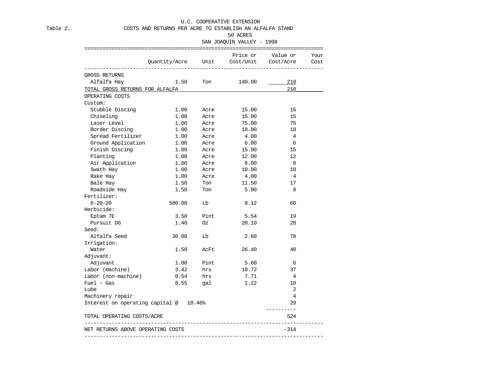U.C. COOPERATIVE EXTENSION

Table 2. COSTS AND RETURNS PER ACRE TO ESTABLISH AN ALFALFA STAND

#### 50 ACRES

#### SAN JOAQUIN VALLEY - 1998

|                                        | Quantity/Acre Unit Cost/Unit Cost/Acre |      |        | Price or Value or | Your<br>Cost |
|----------------------------------------|----------------------------------------|------|--------|-------------------|--------------|
| <b>GROSS RETURNS</b>                   |                                        |      |        |                   |              |
| Alfalfa Hay                            | 1.50                                   | Ton  | 140.00 | 210               |              |
| TOTAL GROSS RETURNS FOR ALFALFA        |                                        |      |        | 210               |              |
|                                        |                                        |      |        |                   |              |
| OPERATING COSTS                        |                                        |      |        |                   |              |
| Custom:                                |                                        |      |        |                   |              |
| Stubble Discing                        | 1.00                                   | Acre | 15.00  | 15                |              |
| Chiseling                              | 1.00                                   | Acre | 15.00  | 15                |              |
| Laser Level                            | 1.00                                   | Acre | 75.00  | 75                |              |
| Border Discing                         | 1.00                                   | Acre | 18.00  | 18                |              |
| Spread Fertilizer                      | 1.00                                   | Acre | 4.00   | $\overline{4}$    |              |
| Ground Application                     | 1.00                                   | Acre | 6.00   | 6                 |              |
| Finish Discing                         | 1.00                                   | Acre | 15.00  | 15                |              |
| Planting                               | 1.00                                   | Acre | 12.00  | 12                |              |
| Air Application                        | 1.00                                   | Acre | 8.00   | 8                 |              |
| Swath Hay                              | 1.00                                   | Acre | 10.00  | 10                |              |
| Rake Hay                               | 1.00                                   | Acre | 4.00   | $\overline{4}$    |              |
| Bale Hay                               | 1.50                                   | Ton  | 11.50  | 17                |              |
| Roadside Hay                           | 1.50                                   | Ton  | 5.00   | 8                 |              |
| Fertilizer:                            |                                        |      |        |                   |              |
| $6 - 20 - 20$                          | 500.00                                 | Lb   | 0.12   | 60                |              |
| Herbicide:                             |                                        |      |        |                   |              |
| Eptam 7E                               | 3.50                                   | Pint | 5.54   | 19                |              |
| Pursuit DG                             | 1.40                                   | Oz   | 20.10  | 28                |              |
| Seed:                                  |                                        |      |        |                   |              |
| Alfalfa Seed                           | 30.00                                  | Lb   | 2.60   | 78                |              |
| Irrigation:                            |                                        |      |        |                   |              |
| Water                                  | 1.50                                   | AcFt | 26.40  | 40                |              |
| Adjuvant:                              |                                        |      |        |                   |              |
| Adjuvant                               | 1.00                                   | Pint | 5.60   | 6                 |              |
| Labor (machine)                        | 3.42                                   | hrs  | 10.72  | 37                |              |
| Labor (non-machine)                    | 0.54                                   | hrs  | 7.71   | $\overline{4}$    |              |
| $Fuel - Gas$                           | 8.55                                   | gal  | 1.22   | 10                |              |
| Lube                                   |                                        |      |        | $\overline{a}$    |              |
| Machinery repair                       |                                        |      |        | 4                 |              |
| Interest on operating capital @ 10.46% |                                        |      |        | 29                |              |
| TOTAL OPERATING COSTS/ACRE             |                                        |      |        | 524               |              |
| NET RETURNS ABOVE OPERATING COSTS      |                                        |      |        | $-314$            |              |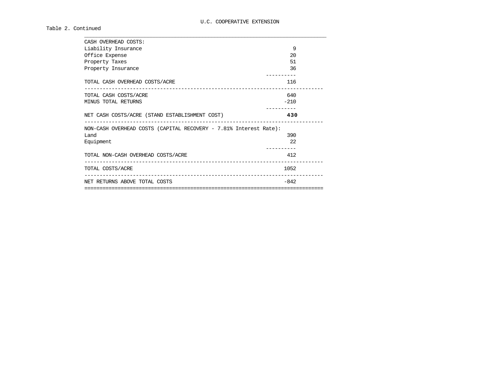#### Table 2. Continued

| CASH OVERHEAD COSTS:                                              |        |  |
|-------------------------------------------------------------------|--------|--|
| Liability Insurance                                               | 9      |  |
| Office Expense                                                    | 20     |  |
| Property Taxes                                                    | 51     |  |
| Property Insurance                                                | 36     |  |
| TOTAL CASH OVERHEAD COSTS/ACRE                                    | 116    |  |
| TOTAL CASH COSTS/ACRE                                             | 640    |  |
| MINUS TOTAL RETURNS                                               | $-210$ |  |
| NET CASH COSTS/ACRE (STAND ESTABLISHMENT COST)                    | 430    |  |
| NON-CASH OVERHEAD COSTS (CAPITAL RECOVERY - 7.81% Interest Rate): |        |  |
| Land                                                              | 390    |  |
| Equipment                                                         | 2.2.   |  |
| TOTAL NON-CASH OVERHEAD COSTS/ACRE                                | 412    |  |
| TOTAL COSTS/ACRE                                                  | 1052   |  |
| NET RETURNS ABOVE TOTAL COSTS                                     | $-842$ |  |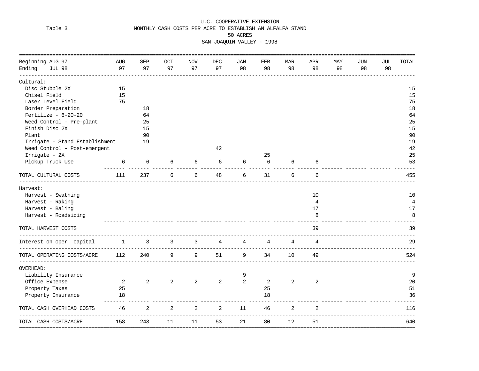#### U.C. COOPERATIVE EXTENSION Table 3. MONTHLY CASH COSTS PER ACRE TO ESTABLISH AN ALFALFA STAND 50 ACRES SAN JOAQUIN VALLEY - 1998

| Beginning AUG 97                        | <b>AUG</b> | <b>SEP</b> | <b>OCT</b> | <b>NOV</b> | <b>DEC</b> | <b>JAN</b> | FEB | <b>MAR</b>     | <b>APR</b>     | MAY | <b>JUN</b> | JUL | TOTAL            |
|-----------------------------------------|------------|------------|------------|------------|------------|------------|-----|----------------|----------------|-----|------------|-----|------------------|
| Ending<br><b>JUL 98</b>                 | 97         | 97         | 97         | 97         | 97         | 98         | 98  | 98             | 98             | 98  | 98         | 98  |                  |
| Cultural:                               |            |            |            |            |            |            |     |                |                |     |            |     |                  |
| Disc Stubble 2X                         | 15         |            |            |            |            |            |     |                |                |     |            |     | 15               |
| Chisel Field                            | 15         |            |            |            |            |            |     |                |                |     |            |     | 15               |
| Laser Level Field                       | 75         |            |            |            |            |            |     |                |                |     |            |     | 75               |
| Border Preparation                      |            | 18         |            |            |            |            |     |                |                |     |            |     | 18               |
| Fertilize - $6-20-20$                   |            | 64         |            |            |            |            |     |                |                |     |            |     | 64               |
| Weed Control - Pre-plant                |            | 25         |            |            |            |            |     |                |                |     |            |     | 25               |
| Finish Disc 2X                          |            | 15         |            |            |            |            |     |                |                |     |            |     | 15               |
| Plant                                   |            | 90         |            |            |            |            |     |                |                |     |            |     | 90               |
| Irrigate - Stand Establishment          |            | 19         |            |            |            |            |     |                |                |     |            |     | 19               |
| Weed Control - Post-emergent            |            |            |            |            | 42         |            |     |                |                |     |            |     | 42               |
| Irrigate - 2X                           |            |            |            |            |            |            | 25  |                |                |     |            |     | 25               |
| Pickup Truck Use                        | 6          | 6          | 6          | 6          | 6          | 6          | 6   | 6              |                |     |            |     | 53               |
| TOTAL CULTURAL COSTS                    | 111        | 237        | 6          | 6          | 48         | 6          | 31  | 6              | 6              |     |            |     | 455              |
| Harvest:                                |            |            |            |            |            |            |     |                |                |     |            |     |                  |
| Harvest - Swathing                      |            |            |            |            |            |            |     |                | 10             |     |            |     | 10               |
| Harvest - Raking                        |            |            |            |            |            |            |     |                | $\overline{4}$ |     |            |     | 4                |
| Harvest - Baling                        |            |            |            |            |            |            |     |                | 17             |     |            |     | 17               |
| Harvest - Roadsiding                    |            |            |            |            |            |            |     |                | 8              |     |            |     | 8                |
| TOTAL HARVEST COSTS                     |            |            |            |            |            |            |     |                | 39             |     |            |     | 39               |
| Interest on oper. capital               | 1          | 3          | 3          | 3          | 4          | 4          | 4   | 4              | 4              |     |            |     | 29               |
| ---------<br>TOTAL OPERATING COSTS/ACRE | 112        | 240        | 9          | 9          | 51         | 9          | 34  | 10             | 49             |     |            |     | 524              |
| OVERHEAD:                               |            |            |            |            |            |            |     |                |                |     |            |     |                  |
| Liability Insurance                     |            |            |            |            |            | 9          |     |                |                |     |            |     | 9                |
| Office Expense                          | 2          | 2          | 2          | 2          | 2          | 2          | 2   | $\overline{2}$ | 2              |     |            |     | 20               |
| Property Taxes                          | 25         |            |            |            |            |            | 25  |                |                |     |            |     | 51               |
| Property Insurance                      | 18         |            |            |            |            |            | 18  |                |                |     |            |     | 36               |
| TOTAL CASH OVERHEAD COSTS               | 46         | 2          | 2          | 2          | 2          | 11         | 46  | 2              | 2              |     |            |     | 116              |
| TOTAL CASH COSTS/ACRE                   | 158        | 243        | 11         | 11         | 53         | 21         | 80  | 12             | 51             |     |            |     | 640<br>========= |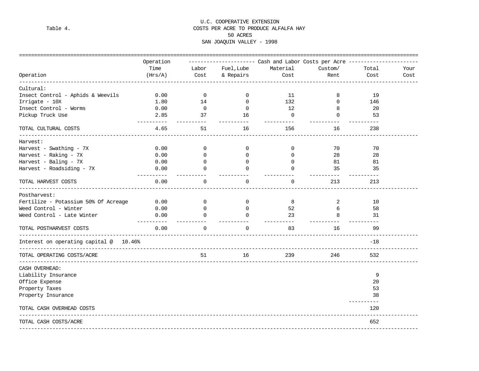#### U.C. COOPERATIVE EXTENSION Table 4. COSTS PER ACRE TO PRODUCE ALFALFA HAY 50 ACRES SAN JOAQUIN VALLEY - 1998

|                                                               | Operation          |                |             | ----------------------        Cash and Labor Costs per Acre ------------- |                   |                    |      |
|---------------------------------------------------------------|--------------------|----------------|-------------|---------------------------------------------------------------------------|-------------------|--------------------|------|
|                                                               | Time               | Labor          | Fuel, Lube  | Material                                                                  | Custom/           | Total              | Your |
| Operation                                                     | (Hrs/A)            | Cost           | & Repairs   | Cost                                                                      | Rent              | Cost               | Cost |
| Cultural:                                                     |                    |                |             |                                                                           |                   |                    |      |
| Insect Control - Aphids & Weevils                             | 0.00               | $\overline{0}$ | 0           | 11                                                                        | 8                 | 19                 |      |
| Irrigate - 10X                                                | 1.80               | 14             | $\Omega$    | 132                                                                       | $\Omega$          | 146                |      |
| Insect Control - Worms                                        | 0.00               | $\overline{0}$ | 0           | 12                                                                        | 8                 | 20                 |      |
| Pickup Truck Use                                              | 2.85               | 37             | 16          | $\overline{0}$                                                            | $\mathbf 0$       | 53                 |      |
| TOTAL CULTURAL COSTS                                          | 4.65               | 51             | 16          | 156                                                                       | 16                | 238                |      |
| Harvest:                                                      |                    |                |             |                                                                           |                   |                    |      |
| Harvest - Swathing - 7X                                       | 0.00               | 0              | 0           | 0                                                                         | 70                | 70                 |      |
| Harvest - Raking - 7X                                         | 0.00               | $\Omega$       | $\Omega$    | $\Omega$                                                                  | 28                | 28                 |      |
| Harvest - Baling - 7X                                         | 0.00               | $\Omega$       | 0           | $\Omega$                                                                  | 81                | 81                 |      |
| Harvest - Roadsiding - 7X                                     | 0.00               | $\Omega$       | $\cap$      | $\Omega$                                                                  | 35                | 35                 |      |
| TOTAL HARVEST COSTS                                           | 0.00               | $\Omega$       | $\Omega$    | $\Omega$                                                                  | ----------<br>213 | 213                |      |
| Postharvest:                                                  |                    |                |             |                                                                           |                   |                    |      |
| Fertilize - Potassium 50% Of Acreage                          | 0.00               | $\mathbf{0}$   | $\mathbf 0$ | 8                                                                         | 2                 | 10                 |      |
| Weed Control - Winter                                         | 0.00               | $\Omega$       | $\Omega$    | 52                                                                        | 6                 | 58                 |      |
| Weed Control - Late Winter                                    | 0.00<br>---------- | $\Omega$       | $\Omega$    | 23                                                                        | 8                 | 31                 |      |
| TOTAL POSTHARVEST COSTS                                       | 0.00               | $\Omega$       | $\Omega$    | 83                                                                        | 16                | 99                 |      |
| Interest on operating capital @ 10.46%<br>------------------- |                    |                |             |                                                                           |                   | $-18$              |      |
| TOTAL OPERATING COSTS/ACRE                                    |                    | 51             | 16          | 239                                                                       | 246               | 532                |      |
| CASH OVERHEAD:                                                |                    |                |             |                                                                           |                   |                    |      |
| Liability Insurance                                           |                    |                |             |                                                                           |                   | 9                  |      |
| Office Expense                                                |                    |                |             |                                                                           |                   | 20                 |      |
| Property Taxes                                                |                    |                |             |                                                                           |                   | 53                 |      |
| Property Insurance                                            |                    |                |             |                                                                           |                   | 38                 |      |
| TOTAL CASH OVERHEAD COSTS                                     |                    |                |             |                                                                           |                   | -----------<br>120 |      |
| TOTAL CASH COSTS/ACRE                                         |                    |                |             |                                                                           |                   | 652                |      |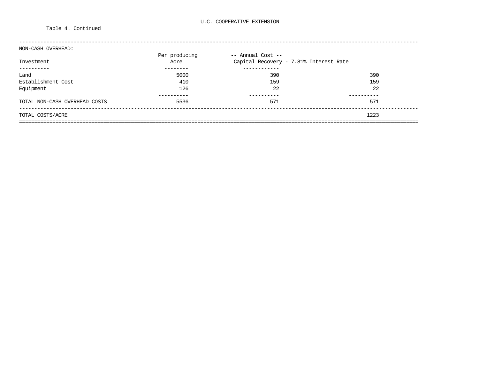#### Table 4. Continued

| NON-CASH OVERHEAD:            |               |                                        |      |
|-------------------------------|---------------|----------------------------------------|------|
|                               | Per producing | -- Annual Cost --                      |      |
| Investment                    | Acre          | Capital Recovery - 7.81% Interest Rate |      |
|                               |               |                                        |      |
| Land                          | 5000          | 390                                    | 390  |
| Establishment Cost            | 410           | 159                                    | 159  |
| Equipment                     | 126           | 22                                     | 22   |
|                               |               |                                        |      |
| TOTAL NON-CASH OVERHEAD COSTS | 5536          | 571                                    | 571  |
| TOTAL COSTS/ACRE              |               |                                        | 1223 |
|                               |               |                                        |      |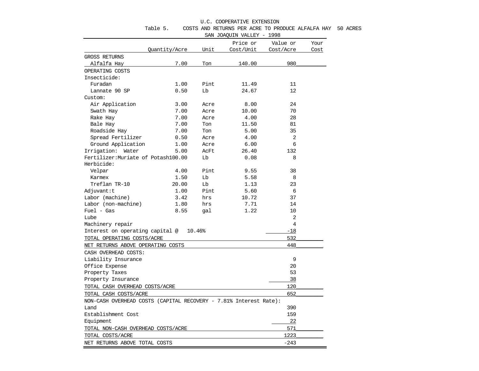| U.C. COOPERATIVE EXTENSION |  |
|----------------------------|--|

| Table 5. | COSTS AND RETURNS PER ACRE TO PRODUCE ALFALFA HAY 50 ACRES |  |  |  |  |  |  |  |  |  |
|----------|------------------------------------------------------------|--|--|--|--|--|--|--|--|--|
|----------|------------------------------------------------------------|--|--|--|--|--|--|--|--|--|

SAN JOAQUIN VALLEY - 1998

| Price or<br>Value or<br>Your<br>Unit<br>Quantity/Acre<br>Cost/Unit<br>Cost/Acre<br>Cost<br>GROSS RETURNS<br>980<br>Alfalfa Hay<br>7.00<br>Ton<br>140.00<br>OPERATING COSTS<br>Insecticide:<br>Furadan<br>1.00<br>Pint.<br>11.49<br>11<br>12<br>Lannate 90 SP<br>0.50<br>Lb<br>24.67<br>Custom:<br>Air Application<br>3.00<br>Acre<br>8.00<br>24<br>7.00<br>70<br>Swath Hay<br>10.00<br>Acre<br>28<br>Rake Hay<br>7.00<br>Acre<br>4.00<br>7.00<br>11.50<br>81<br>Bale Hay<br>Ton<br>35<br>Roadside Hay<br>7.00<br>Ton<br>5.00<br>2<br>Spread Fertilizer<br>0.50<br>4.00<br>Acre<br>6<br>Ground Application<br>6.00<br>1.00<br>Acre<br>Irrigation: Water<br>132<br>5.00<br>AcFt<br>26.40<br>Fertilizer: Muriate of Potash100.00<br>Lb<br>0.08<br>8<br>Herbicide:<br>4.00<br>Pint<br>Velpar<br>9.55<br>38<br>1.50<br>Lb<br>5.58<br>8<br>Karmex<br>Treflan TR-10<br>20.00<br>Lb<br>23<br>1.13<br>Pint<br>Adjuvant:t<br>1.00<br>5.60<br>6<br>Labor (machine)<br>3.42<br>10.72<br>37<br>hrs<br>Labor (non-machine)<br>1.80<br>7.71<br>hrs<br>14<br>$Fuel - Gas$<br>8.55<br>1.22<br>10<br>gal<br>Lube<br>2<br>4<br>Machinery repair<br>10.46%<br>$-18$<br>Interest on operating capital @<br>532<br>TOTAL OPERATING COSTS/ACRE<br>448<br>NET RETURNS ABOVE OPERATING COSTS<br>CASH OVERHEAD COSTS:<br>9<br>Liability Insurance<br>Office Expense<br>20<br>53<br>Property Taxes<br>38<br>Property Insurance<br>120<br>TOTAL CASH OVERHEAD COSTS/ACRE<br>652<br>TOTAL CASH COSTS/ACRE<br>NON-CASH OVERHEAD COSTS (CAPITAL RECOVERY - 7.81% Interest Rate):<br>390<br>Land<br>159<br>Establishment Cost<br>22<br>Equipment<br>571<br>TOTAL NON-CASH OVERHEAD COSTS/ACRE<br>1223<br>TOTAL COSTS/ACRE<br>NET RETURNS ABOVE TOTAL COSTS |  |  |        |  |  |
|----------------------------------------------------------------------------------------------------------------------------------------------------------------------------------------------------------------------------------------------------------------------------------------------------------------------------------------------------------------------------------------------------------------------------------------------------------------------------------------------------------------------------------------------------------------------------------------------------------------------------------------------------------------------------------------------------------------------------------------------------------------------------------------------------------------------------------------------------------------------------------------------------------------------------------------------------------------------------------------------------------------------------------------------------------------------------------------------------------------------------------------------------------------------------------------------------------------------------------------------------------------------------------------------------------------------------------------------------------------------------------------------------------------------------------------------------------------------------------------------------------------------------------------------------------------------------------------------------------------------------------------------------------------------------------------------------------------------------|--|--|--------|--|--|
|                                                                                                                                                                                                                                                                                                                                                                                                                                                                                                                                                                                                                                                                                                                                                                                                                                                                                                                                                                                                                                                                                                                                                                                                                                                                                                                                                                                                                                                                                                                                                                                                                                                                                                                            |  |  |        |  |  |
|                                                                                                                                                                                                                                                                                                                                                                                                                                                                                                                                                                                                                                                                                                                                                                                                                                                                                                                                                                                                                                                                                                                                                                                                                                                                                                                                                                                                                                                                                                                                                                                                                                                                                                                            |  |  |        |  |  |
|                                                                                                                                                                                                                                                                                                                                                                                                                                                                                                                                                                                                                                                                                                                                                                                                                                                                                                                                                                                                                                                                                                                                                                                                                                                                                                                                                                                                                                                                                                                                                                                                                                                                                                                            |  |  |        |  |  |
|                                                                                                                                                                                                                                                                                                                                                                                                                                                                                                                                                                                                                                                                                                                                                                                                                                                                                                                                                                                                                                                                                                                                                                                                                                                                                                                                                                                                                                                                                                                                                                                                                                                                                                                            |  |  |        |  |  |
|                                                                                                                                                                                                                                                                                                                                                                                                                                                                                                                                                                                                                                                                                                                                                                                                                                                                                                                                                                                                                                                                                                                                                                                                                                                                                                                                                                                                                                                                                                                                                                                                                                                                                                                            |  |  |        |  |  |
|                                                                                                                                                                                                                                                                                                                                                                                                                                                                                                                                                                                                                                                                                                                                                                                                                                                                                                                                                                                                                                                                                                                                                                                                                                                                                                                                                                                                                                                                                                                                                                                                                                                                                                                            |  |  |        |  |  |
|                                                                                                                                                                                                                                                                                                                                                                                                                                                                                                                                                                                                                                                                                                                                                                                                                                                                                                                                                                                                                                                                                                                                                                                                                                                                                                                                                                                                                                                                                                                                                                                                                                                                                                                            |  |  |        |  |  |
|                                                                                                                                                                                                                                                                                                                                                                                                                                                                                                                                                                                                                                                                                                                                                                                                                                                                                                                                                                                                                                                                                                                                                                                                                                                                                                                                                                                                                                                                                                                                                                                                                                                                                                                            |  |  |        |  |  |
|                                                                                                                                                                                                                                                                                                                                                                                                                                                                                                                                                                                                                                                                                                                                                                                                                                                                                                                                                                                                                                                                                                                                                                                                                                                                                                                                                                                                                                                                                                                                                                                                                                                                                                                            |  |  |        |  |  |
|                                                                                                                                                                                                                                                                                                                                                                                                                                                                                                                                                                                                                                                                                                                                                                                                                                                                                                                                                                                                                                                                                                                                                                                                                                                                                                                                                                                                                                                                                                                                                                                                                                                                                                                            |  |  |        |  |  |
|                                                                                                                                                                                                                                                                                                                                                                                                                                                                                                                                                                                                                                                                                                                                                                                                                                                                                                                                                                                                                                                                                                                                                                                                                                                                                                                                                                                                                                                                                                                                                                                                                                                                                                                            |  |  |        |  |  |
|                                                                                                                                                                                                                                                                                                                                                                                                                                                                                                                                                                                                                                                                                                                                                                                                                                                                                                                                                                                                                                                                                                                                                                                                                                                                                                                                                                                                                                                                                                                                                                                                                                                                                                                            |  |  |        |  |  |
|                                                                                                                                                                                                                                                                                                                                                                                                                                                                                                                                                                                                                                                                                                                                                                                                                                                                                                                                                                                                                                                                                                                                                                                                                                                                                                                                                                                                                                                                                                                                                                                                                                                                                                                            |  |  |        |  |  |
|                                                                                                                                                                                                                                                                                                                                                                                                                                                                                                                                                                                                                                                                                                                                                                                                                                                                                                                                                                                                                                                                                                                                                                                                                                                                                                                                                                                                                                                                                                                                                                                                                                                                                                                            |  |  |        |  |  |
|                                                                                                                                                                                                                                                                                                                                                                                                                                                                                                                                                                                                                                                                                                                                                                                                                                                                                                                                                                                                                                                                                                                                                                                                                                                                                                                                                                                                                                                                                                                                                                                                                                                                                                                            |  |  |        |  |  |
|                                                                                                                                                                                                                                                                                                                                                                                                                                                                                                                                                                                                                                                                                                                                                                                                                                                                                                                                                                                                                                                                                                                                                                                                                                                                                                                                                                                                                                                                                                                                                                                                                                                                                                                            |  |  |        |  |  |
|                                                                                                                                                                                                                                                                                                                                                                                                                                                                                                                                                                                                                                                                                                                                                                                                                                                                                                                                                                                                                                                                                                                                                                                                                                                                                                                                                                                                                                                                                                                                                                                                                                                                                                                            |  |  |        |  |  |
|                                                                                                                                                                                                                                                                                                                                                                                                                                                                                                                                                                                                                                                                                                                                                                                                                                                                                                                                                                                                                                                                                                                                                                                                                                                                                                                                                                                                                                                                                                                                                                                                                                                                                                                            |  |  |        |  |  |
|                                                                                                                                                                                                                                                                                                                                                                                                                                                                                                                                                                                                                                                                                                                                                                                                                                                                                                                                                                                                                                                                                                                                                                                                                                                                                                                                                                                                                                                                                                                                                                                                                                                                                                                            |  |  |        |  |  |
|                                                                                                                                                                                                                                                                                                                                                                                                                                                                                                                                                                                                                                                                                                                                                                                                                                                                                                                                                                                                                                                                                                                                                                                                                                                                                                                                                                                                                                                                                                                                                                                                                                                                                                                            |  |  |        |  |  |
|                                                                                                                                                                                                                                                                                                                                                                                                                                                                                                                                                                                                                                                                                                                                                                                                                                                                                                                                                                                                                                                                                                                                                                                                                                                                                                                                                                                                                                                                                                                                                                                                                                                                                                                            |  |  |        |  |  |
|                                                                                                                                                                                                                                                                                                                                                                                                                                                                                                                                                                                                                                                                                                                                                                                                                                                                                                                                                                                                                                                                                                                                                                                                                                                                                                                                                                                                                                                                                                                                                                                                                                                                                                                            |  |  |        |  |  |
|                                                                                                                                                                                                                                                                                                                                                                                                                                                                                                                                                                                                                                                                                                                                                                                                                                                                                                                                                                                                                                                                                                                                                                                                                                                                                                                                                                                                                                                                                                                                                                                                                                                                                                                            |  |  |        |  |  |
|                                                                                                                                                                                                                                                                                                                                                                                                                                                                                                                                                                                                                                                                                                                                                                                                                                                                                                                                                                                                                                                                                                                                                                                                                                                                                                                                                                                                                                                                                                                                                                                                                                                                                                                            |  |  |        |  |  |
|                                                                                                                                                                                                                                                                                                                                                                                                                                                                                                                                                                                                                                                                                                                                                                                                                                                                                                                                                                                                                                                                                                                                                                                                                                                                                                                                                                                                                                                                                                                                                                                                                                                                                                                            |  |  |        |  |  |
|                                                                                                                                                                                                                                                                                                                                                                                                                                                                                                                                                                                                                                                                                                                                                                                                                                                                                                                                                                                                                                                                                                                                                                                                                                                                                                                                                                                                                                                                                                                                                                                                                                                                                                                            |  |  |        |  |  |
|                                                                                                                                                                                                                                                                                                                                                                                                                                                                                                                                                                                                                                                                                                                                                                                                                                                                                                                                                                                                                                                                                                                                                                                                                                                                                                                                                                                                                                                                                                                                                                                                                                                                                                                            |  |  |        |  |  |
|                                                                                                                                                                                                                                                                                                                                                                                                                                                                                                                                                                                                                                                                                                                                                                                                                                                                                                                                                                                                                                                                                                                                                                                                                                                                                                                                                                                                                                                                                                                                                                                                                                                                                                                            |  |  |        |  |  |
|                                                                                                                                                                                                                                                                                                                                                                                                                                                                                                                                                                                                                                                                                                                                                                                                                                                                                                                                                                                                                                                                                                                                                                                                                                                                                                                                                                                                                                                                                                                                                                                                                                                                                                                            |  |  |        |  |  |
|                                                                                                                                                                                                                                                                                                                                                                                                                                                                                                                                                                                                                                                                                                                                                                                                                                                                                                                                                                                                                                                                                                                                                                                                                                                                                                                                                                                                                                                                                                                                                                                                                                                                                                                            |  |  |        |  |  |
|                                                                                                                                                                                                                                                                                                                                                                                                                                                                                                                                                                                                                                                                                                                                                                                                                                                                                                                                                                                                                                                                                                                                                                                                                                                                                                                                                                                                                                                                                                                                                                                                                                                                                                                            |  |  |        |  |  |
|                                                                                                                                                                                                                                                                                                                                                                                                                                                                                                                                                                                                                                                                                                                                                                                                                                                                                                                                                                                                                                                                                                                                                                                                                                                                                                                                                                                                                                                                                                                                                                                                                                                                                                                            |  |  |        |  |  |
|                                                                                                                                                                                                                                                                                                                                                                                                                                                                                                                                                                                                                                                                                                                                                                                                                                                                                                                                                                                                                                                                                                                                                                                                                                                                                                                                                                                                                                                                                                                                                                                                                                                                                                                            |  |  |        |  |  |
|                                                                                                                                                                                                                                                                                                                                                                                                                                                                                                                                                                                                                                                                                                                                                                                                                                                                                                                                                                                                                                                                                                                                                                                                                                                                                                                                                                                                                                                                                                                                                                                                                                                                                                                            |  |  |        |  |  |
|                                                                                                                                                                                                                                                                                                                                                                                                                                                                                                                                                                                                                                                                                                                                                                                                                                                                                                                                                                                                                                                                                                                                                                                                                                                                                                                                                                                                                                                                                                                                                                                                                                                                                                                            |  |  |        |  |  |
|                                                                                                                                                                                                                                                                                                                                                                                                                                                                                                                                                                                                                                                                                                                                                                                                                                                                                                                                                                                                                                                                                                                                                                                                                                                                                                                                                                                                                                                                                                                                                                                                                                                                                                                            |  |  |        |  |  |
|                                                                                                                                                                                                                                                                                                                                                                                                                                                                                                                                                                                                                                                                                                                                                                                                                                                                                                                                                                                                                                                                                                                                                                                                                                                                                                                                                                                                                                                                                                                                                                                                                                                                                                                            |  |  |        |  |  |
|                                                                                                                                                                                                                                                                                                                                                                                                                                                                                                                                                                                                                                                                                                                                                                                                                                                                                                                                                                                                                                                                                                                                                                                                                                                                                                                                                                                                                                                                                                                                                                                                                                                                                                                            |  |  |        |  |  |
|                                                                                                                                                                                                                                                                                                                                                                                                                                                                                                                                                                                                                                                                                                                                                                                                                                                                                                                                                                                                                                                                                                                                                                                                                                                                                                                                                                                                                                                                                                                                                                                                                                                                                                                            |  |  |        |  |  |
|                                                                                                                                                                                                                                                                                                                                                                                                                                                                                                                                                                                                                                                                                                                                                                                                                                                                                                                                                                                                                                                                                                                                                                                                                                                                                                                                                                                                                                                                                                                                                                                                                                                                                                                            |  |  |        |  |  |
|                                                                                                                                                                                                                                                                                                                                                                                                                                                                                                                                                                                                                                                                                                                                                                                                                                                                                                                                                                                                                                                                                                                                                                                                                                                                                                                                                                                                                                                                                                                                                                                                                                                                                                                            |  |  |        |  |  |
|                                                                                                                                                                                                                                                                                                                                                                                                                                                                                                                                                                                                                                                                                                                                                                                                                                                                                                                                                                                                                                                                                                                                                                                                                                                                                                                                                                                                                                                                                                                                                                                                                                                                                                                            |  |  |        |  |  |
|                                                                                                                                                                                                                                                                                                                                                                                                                                                                                                                                                                                                                                                                                                                                                                                                                                                                                                                                                                                                                                                                                                                                                                                                                                                                                                                                                                                                                                                                                                                                                                                                                                                                                                                            |  |  |        |  |  |
|                                                                                                                                                                                                                                                                                                                                                                                                                                                                                                                                                                                                                                                                                                                                                                                                                                                                                                                                                                                                                                                                                                                                                                                                                                                                                                                                                                                                                                                                                                                                                                                                                                                                                                                            |  |  |        |  |  |
|                                                                                                                                                                                                                                                                                                                                                                                                                                                                                                                                                                                                                                                                                                                                                                                                                                                                                                                                                                                                                                                                                                                                                                                                                                                                                                                                                                                                                                                                                                                                                                                                                                                                                                                            |  |  | $-243$ |  |  |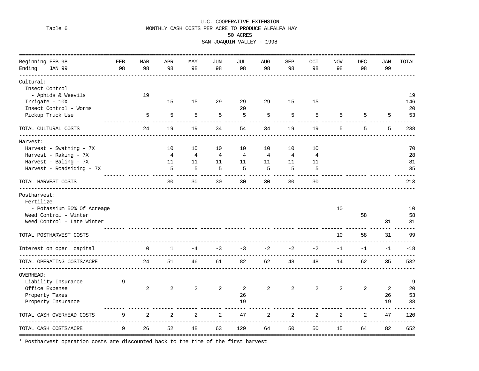#### U.C. COOPERATIVE EXTENSION Table 6. MONTHLY CASH COSTS PER ACRE TO PRODUCE ALFALFA HAY 50 ACRES SAN JOAQUIN VALLEY - 1998

|                           | =====================                            |                     |             |                |                |                |                |                |                |            |            |            |      |       |
|---------------------------|--------------------------------------------------|---------------------|-------------|----------------|----------------|----------------|----------------|----------------|----------------|------------|------------|------------|------|-------|
| Beginning FEB 98          |                                                  | FEB                 | MAR         | APR            | MAY            | JUN            | JUL            | <b>AUG</b>     | SEP            | <b>OCT</b> | <b>NOV</b> | <b>DEC</b> | JAN  | TOTAL |
| Ending                    | <b>JAN 99</b><br>__________________              | 98                  | 98          | 98             | 98             | 98             | 98             | 98             | 98             | 98         | 98         | 98         | 99   |       |
| Cultural:                 |                                                  |                     |             |                |                |                |                |                |                |            |            |            |      |       |
| Insect Control            |                                                  |                     |             |                |                |                |                |                |                |            |            |            |      |       |
|                           | - Aphids & Weevils                               |                     | 19          |                |                |                |                |                |                |            |            |            |      | 19    |
| Irrigate - 10X            |                                                  |                     |             | 15             | 15             | 29             | 29             | 29             | 15             | 15         |            |            |      | 146   |
|                           | Insect Control - Worms                           |                     |             |                |                |                | 20             |                |                |            |            |            |      | 20    |
|                           | Pickup Truck Use                                 |                     | 5           | 5              | 5              | 5              | 5              | 5              | 5              | 5          | 5          | 5          | 5    | 53    |
|                           |                                                  |                     |             |                |                |                |                |                |                |            |            |            |      |       |
|                           | TOTAL CULTURAL COSTS                             |                     | 24          | 19             | 19             | 34             | 54             | 34             | 19             | 19         | 5          | 5          | 5    | 238   |
| Harvest:                  |                                                  |                     |             |                |                |                |                |                |                |            |            |            |      |       |
|                           | Harvest - Swathing - 7X                          |                     |             | 10             | 10             | 10             | 10             | 10             | 10             | 10         |            |            |      | 70    |
|                           | Harvest - Raking - 7X                            |                     |             | $\overline{4}$ | $\overline{4}$ | $\overline{4}$ | $\overline{4}$ | $\overline{4}$ | $\overline{4}$ | 4          |            |            |      | 28    |
|                           | Harvest - Baling - 7X                            |                     |             | 11             | 11             | 11             | 11             | 11             | 11             | 11         |            |            |      | 81    |
|                           | Harvest - Roadsiding - 7X                        |                     |             | 5              | 5              | 5              | 5              | 5              | 5              | 5          |            |            |      | 35    |
|                           |                                                  |                     |             |                |                |                |                |                |                |            |            |            |      |       |
|                           | TOTAL HARVEST COSTS                              |                     |             | 30             | 30             | 30             | 30             | 30             | 30             | 30         |            |            |      | 213   |
| Postharvest:<br>Fertilize | - Potassium 50% Of Acreage                       |                     |             |                |                |                |                |                |                |            | 10         |            |      | 10    |
|                           | Weed Control - Winter                            |                     |             |                |                |                |                |                |                |            |            | 58         |      | 58    |
|                           | Weed Control - Late Winter                       |                     |             |                |                |                |                |                |                |            |            |            | 31   | 31    |
|                           | TOTAL POSTHARVEST COSTS<br>________________      | ------------------  |             |                |                |                |                |                |                |            | 10         | 58         | 31   | 99    |
|                           | Interest on oper. capital<br>------------------- | ------------------- | $\mathbf 0$ | $\mathbf 1$    | $-4$           | $-3$           | $-3$           | $-2$           | $-2$           | $-2$       | $-1$       | $-1$       | $-1$ | $-18$ |
|                           | TOTAL OPERATING COSTS/ACRE<br>____________       |                     | 24          | 51             | 46             | 61             | 82             | 62             | 48             | 48         | 14         | 62         | 35   | 532   |
| <b>OVERHEAD:</b>          |                                                  |                     |             |                |                |                |                |                |                |            |            |            |      |       |
|                           | Liability Insurance                              | 9                   |             |                |                |                |                |                |                |            |            |            |      | 9     |
| Office Expense            |                                                  |                     | 2           | 2              | 2              | 2              | 2              | 2              | 2              | 2          | 2          | 2          | 2    | 20    |
| Property Taxes            |                                                  |                     |             |                |                |                | 26             |                |                |            |            |            | 26   | 53    |
|                           | Property Insurance                               |                     |             |                |                |                | 19             |                |                |            |            |            | 19   | 38    |
|                           |                                                  |                     |             |                |                |                |                |                |                |            |            |            |      |       |
|                           | TOTAL CASH OVERHEAD COSTS                        | 9                   | 2           | 2              | 2              | 2              | 47             | 2              | 2              | 2          | 2          | 2          | 47   | 120   |
|                           | TOTAL CASH COSTS/ACRE                            | 9                   | 26          | 52             | 48             | 63             | 129            | 64             | 50             | 50         | 15         | 64         | 82   | 652   |

\* Postharvest operation costs are discounted back to the time of the first harvest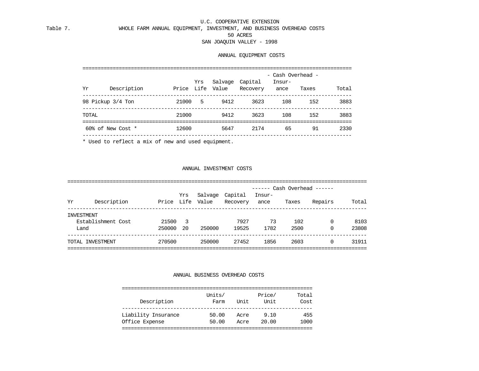U.C. COOPERATIVE EXTENSION

#### Table 7. WHOLE FARM ANNUAL EQUIPMENT, INVESTMENT, AND BUSINESS OVERHEAD COSTS 50 ACRES SAN JOAQUIN VALLEY - 1998

#### ANNUAL EQUIPMENT COSTS

|                   |             |         |     |                  |          | - Cash Overhead - |       |       |
|-------------------|-------------|---------|-----|------------------|----------|-------------------|-------|-------|
|                   |             |         | Yrs | Salvage Capital  |          | Insur-            |       |       |
| Yr                | Description |         |     | Price Life Value | Recovery | ance              | Taxes | Total |
| 98 Pickup 3/4 Ton |             | 21000 5 |     | 9412             | 3623     | 108               | 152   | 3883  |
| TOTAL             |             | 21000   |     | 9412             | 3623     | 108               | 152   | 3883  |
| 60% of New Cost * |             | 12600   |     | 5647             | 2174     | 65                | 91    | 2330  |
|                   |             |         |     |                  |          |                   |       |       |

\* Used to reflect a mix of new and used equipment.

#### ANNUAL INVESTMENT COSTS

|      |                    |        |     |                  |          | ------ Cash Overhead ------ |       |          |       |
|------|--------------------|--------|-----|------------------|----------|-----------------------------|-------|----------|-------|
|      |                    |        | Yrs | Salvage          | Capital  | Insur-                      |       |          |       |
| Yr   | Description        |        |     | Price Life Value | Recovery | ance                        | Taxes | Repairs  | Total |
|      | INVESTMENT         |        |     |                  |          |                             |       |          |       |
|      | Establishment Cost | 21500  | -3  |                  | 7927     | 73                          | 102   | $\Omega$ | 8103  |
| Land |                    | 250000 | -20 | 250000           | 19525    | 1782                        | 2500  | 0        | 23808 |
|      | TOTAL INVESTMENT   | 270500 |     | 250000           | 27452    | 1856                        | 2603  | 0        | 31911 |
|      |                    |        |     |                  |          |                             |       |          |       |

#### ANNUAL BUSINESS OVERHEAD COSTS

| Description         | Units/<br>Farm | Unit | Price/<br>Unit | Total<br>Cost |
|---------------------|----------------|------|----------------|---------------|
| Liability Insurance | 50.00          | Acre | 9.10           | 455           |
| Office Expense      | 50.00          | Acre | 20.00          | 1000          |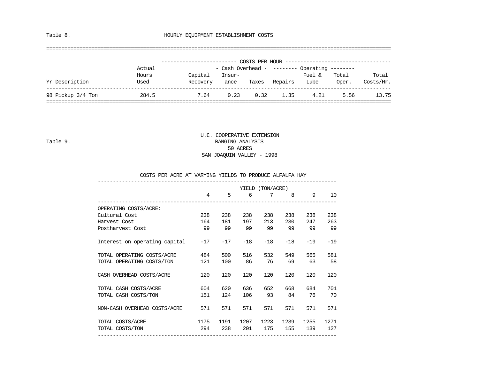Table 8. **HOURLY EQUIPMENT ESTABLISHMENT COSTS** 

#### ==================================================================================================================

| - Cash Overhead - -------- Operating --------<br>Actual<br>Capital<br>Fuel &<br>Total<br>Hours<br>Insur-<br>Yr Description<br>Lube<br>Used<br>Repairs<br>Recovery<br>Oper.<br>Taxes<br>ance<br>98 Pickup 3/4 Ton<br>0.23<br>0.32<br>284.5<br>7.64<br>1.35<br>4.21<br>5.56 |  |  | COSTS PER HOUR |  |                    |
|---------------------------------------------------------------------------------------------------------------------------------------------------------------------------------------------------------------------------------------------------------------------------|--|--|----------------|--|--------------------|
|                                                                                                                                                                                                                                                                           |  |  |                |  |                    |
|                                                                                                                                                                                                                                                                           |  |  |                |  | Total<br>Costs/Hr. |
|                                                                                                                                                                                                                                                                           |  |  |                |  | 13.75              |

#### U.C. COOPERATIVE EXTENSION Table 9. RANGING ANALYSIS 50 ACRES SAN JOAQUIN VALLEY - 1998

#### COSTS PER ACRE AT VARYING YIELDS TO PRODUCE ALFALFA HAY

|                               | YIELD (TON/ACRE) |       |       |       |         |       |       |  |  |  |  |
|-------------------------------|------------------|-------|-------|-------|---------|-------|-------|--|--|--|--|
|                               | $\overline{4}$   | 5     | 6     | 7     | $8 - 8$ | 9     | 10    |  |  |  |  |
| OPERATING COSTS/ACRE:         |                  |       |       |       |         |       |       |  |  |  |  |
| Cultural Cost                 | 238              | 238   | 238   | 238   | 238     | 238   | 238   |  |  |  |  |
| Harvest Cost                  | 164              | 181   | 197   | 213   | 230     | 247   | 263   |  |  |  |  |
| Postharvest Cost              | 99               | 99    | 99    | 99    | 99      | 99    | 99    |  |  |  |  |
| Interest on operating capital | $-17$            | $-17$ | $-18$ | $-18$ | $-18$   | $-19$ | $-19$ |  |  |  |  |
| TOTAL OPERATING COSTS/ACRE    | 484              | 500   | 516   | 532   | 549     | 565   | 581   |  |  |  |  |
| TOTAL OPERATING COSTS/TON     | 121              | 100   | 86    | 76    | 69      | 63    | 58    |  |  |  |  |
| CASH OVERHEAD COSTS/ACRE      | 120              | 120   | 120   | 120   | 120     | 120   | 120   |  |  |  |  |
| TOTAL CASH COSTS/ACRE         | 604              | 620   | 636   | 652   | 668     | 684   | 701   |  |  |  |  |
| TOTAL CASH COSTS/TON          | 151              | 124   | 106   | 93    | 84      | 76    | 70    |  |  |  |  |
| NON-CASH OVERHEAD COSTS/ACRE  | 571              | 571   | 571   | 571   | 571     | 571   | 571   |  |  |  |  |
| TOTAL COSTS/ACRE              | 1175             | 1191  | 1207  | 1223  | 1239    | 1255  | 1271  |  |  |  |  |
| TOTAL COSTS/TON               | 294              | 238   | 201   | 175   | 155     | 139   | 127   |  |  |  |  |